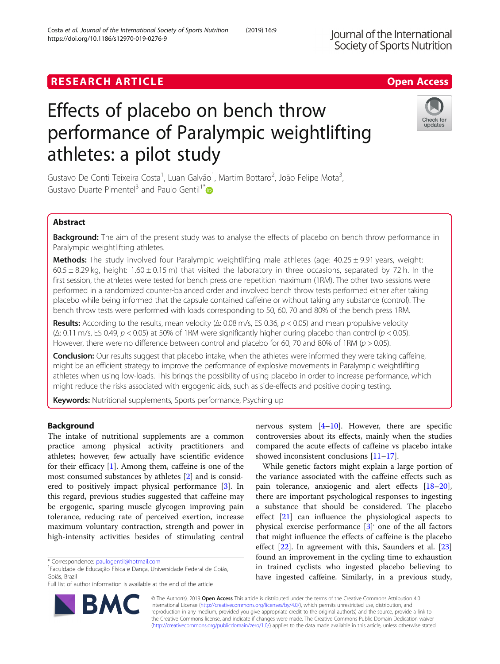# **RESEARCH ARTICLE Example 2018 12:30 The Contract of Contract ACCESS**

# Effects of placebo on bench throw performance of Paralympic weightlifting athletes: a pilot study

Gustavo De Conti Teixeira Costa<sup>1</sup>, Luan Galvão<sup>1</sup>, Martim Bottaro<sup>2</sup>, João Felipe Mota<sup>3</sup> , Gustavo Duarte Pimentel<sup>3</sup> and Paulo Gentil<sup>1\*</sup>

# Abstract

Background: The aim of the present study was to analyse the effects of placebo on bench throw performance in Paralympic weightlifting athletes.

**Methods:** The study involved four Paralympic weightlifting male athletes (age:  $40.25 \pm 9.91$  years, weight:  $60.5 \pm 8.29$  kg, height: 1.60  $\pm$  0.15 m) that visited the laboratory in three occasions, separated by 72 h. In the first session, the athletes were tested for bench press one repetition maximum (1RM). The other two sessions were performed in a randomized counter-balanced order and involved bench throw tests performed either after taking placebo while being informed that the capsule contained caffeine or without taking any substance (control). The bench throw tests were performed with loads corresponding to 50, 60, 70 and 80% of the bench press 1RM.

Results: According to the results, mean velocity ( $\Delta$ : 0.08 m/s, ES 0.36,  $p < 0.05$ ) and mean propulsive velocity ( $\Delta$ : 0.11 m/s, ES 0.49,  $p < 0.05$ ) at 50% of 1RM were significantly higher during placebo than control ( $p < 0.05$ ). However, there were no difference between control and placebo for 60, 70 and 80% of 1RM ( $p > 0.05$ ).

**Conclusion:** Our results suggest that placebo intake, when the athletes were informed they were taking caffeine, might be an efficient strategy to improve the performance of explosive movements in Paralympic weightlifting athletes when using low-loads. This brings the possibility of using placebo in order to increase performance, which might reduce the risks associated with ergogenic aids, such as side-effects and positive doping testing.

Keywords: Nutritional supplements, Sports performance, Psyching up

## Background

The intake of nutritional supplements are a common practice among physical activity practitioners and athletes; however, few actually have scientific evidence for their efficacy [[1\]](#page-4-0). Among them, caffeine is one of the most consumed substances by athletes [[2\]](#page-4-0) and is considered to positively impact physical performance [[3\]](#page-4-0). In this regard, previous studies suggested that caffeine may be ergogenic, sparing muscle glycogen improving pain tolerance, reducing rate of perceived exertion, increase maximum voluntary contraction, strength and power in high-intensity activities besides of stimulating central

nervous system  $[4-10]$  $[4-10]$  $[4-10]$  $[4-10]$ . However, there are specific controversies about its effects, mainly when the studies compared the acute effects of caffeine vs placebo intake showed inconsistent conclusions [\[11](#page-4-0)–[17\]](#page-4-0).

While genetic factors might explain a large portion of the variance associated with the caffeine effects such as pain tolerance, anxiogenic and alert effects [[18](#page-4-0)–[20](#page-4-0)], there are important psychological responses to ingesting a substance that should be considered. The placebo effect [[21\]](#page-4-0) can influence the physiological aspects to physical exercise performance [\[3](#page-4-0)]<sup>'</sup> one of the all factors that might influence the effects of caffeine is the placebo effect [\[22](#page-4-0)]. In agreement with this, Saunders et al. [[23](#page-4-0)] found an improvement in the cycling time to exhaustion in trained cyclists who ingested placebo believing to have ingested caffeine. Similarly, in a previous study,

© The Author(s). 2019 **Open Access** This article is distributed under the terms of the Creative Commons Attribution 4.0 International License [\(http://creativecommons.org/licenses/by/4.0/](http://creativecommons.org/licenses/by/4.0/)), which permits unrestricted use, distribution, and reproduction in any medium, provided you give appropriate credit to the original author(s) and the source, provide a link to the Creative Commons license, and indicate if changes were made. The Creative Commons Public Domain Dedication waiver [\(http://creativecommons.org/publicdomain/zero/1.0/](http://creativecommons.org/publicdomain/zero/1.0/)) applies to the data made available in this article, unless otherwise stated.





<sup>\*</sup> Correspondence: [paulogentil@hotmail.com](mailto:paulogentil@hotmail.com) <sup>1</sup>

<sup>&</sup>lt;sup>1</sup>Faculdade de Educação Física e Dança, Universidade Federal de Goiás, Goiás, Brazil

Full list of author information is available at the end of the article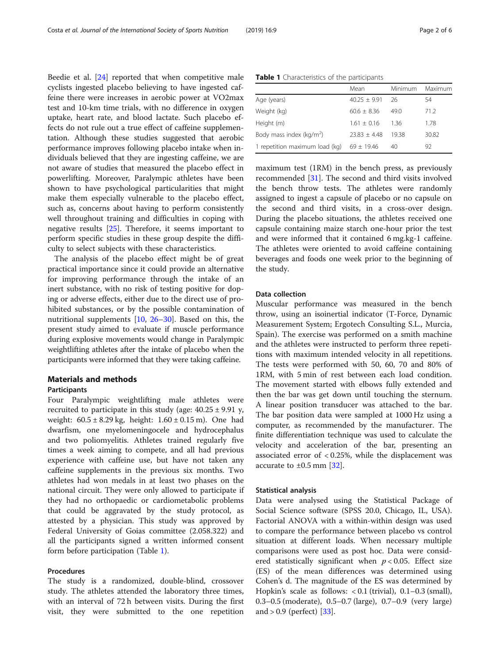Beedie et al. [\[24\]](#page-4-0) reported that when competitive male cyclists ingested placebo believing to have ingested caffeine there were increases in aerobic power at VO2max test and 10-km time trials, with no difference in oxygen uptake, heart rate, and blood lactate. Such placebo effects do not rule out a true effect of caffeine supplementation. Although these studies suggested that aerobic performance improves following placebo intake when individuals believed that they are ingesting caffeine, we are not aware of studies that measured the placebo effect in powerlifting. Moreover, Paralympic athletes have been shown to have psychological particularities that might make them especially vulnerable to the placebo effect, such as, concerns about having to perform consistently well throughout training and difficulties in coping with negative results [[25\]](#page-4-0). Therefore, it seems important to perform specific studies in these group despite the difficulty to select subjects with these characteristics.

The analysis of the placebo effect might be of great practical importance since it could provide an alternative for improving performance through the intake of an inert substance, with no risk of testing positive for doping or adverse effects, either due to the direct use of prohibited substances, or by the possible contamination of nutritional supplements [[10,](#page-4-0) [26](#page-4-0)–[30](#page-4-0)]. Based on this, the present study aimed to evaluate if muscle performance during explosive movements would change in Paralympic weightlifting athletes after the intake of placebo when the participants were informed that they were taking caffeine.

### Materials and methods

#### Participants

Four Paralympic weightlifting male athletes were recruited to participate in this study (age:  $40.25 \pm 9.91$  y, weight:  $60.5 \pm 8.29$  kg, height:  $1.60 \pm 0.15$  m). One had dwarfism, one myelomeningocele and hydrocephalus and two poliomyelitis. Athletes trained regularly five times a week aiming to compete, and all had previous experience with caffeine use, but have not taken any caffeine supplements in the previous six months. Two athletes had won medals in at least two phases on the national circuit. They were only allowed to participate if they had no orthopaedic or cardiometabolic problems that could be aggravated by the study protocol, as attested by a physician. This study was approved by Federal University of Goias committee (2.058.322) and all the participants signed a written informed consent form before participation (Table 1).

#### Procedures

The study is a randomized, double-blind, crossover study. The athletes attended the laboratory three times, with an interval of 72 h between visits. During the first visit, they were submitted to the one repetition

Table 1 Characteristics of the participants

|                                      | Mean           | Minimum | Maximum |
|--------------------------------------|----------------|---------|---------|
| Age (years)                          | $40.25 + 9.91$ | -26     | 54      |
| Weight (kg)                          | $60.6 + 8.36$  | 49 Q    | 71.2    |
| Height (m)                           | $1.61 + 0.16$  | 136     | 1.78    |
| Body mass index (kg/m <sup>2</sup> ) | $73.83 + 4.48$ | 1938    | 30.82   |
| 1 repetition maximum load (kg)       | $69 + 19.46$   | 40      | 92      |

maximum test (1RM) in the bench press, as previously recommended [[31\]](#page-4-0). The second and third visits involved the bench throw tests. The athletes were randomly assigned to ingest a capsule of placebo or no capsule on the second and third visits, in a cross-over design. During the placebo situations, the athletes received one capsule containing maize starch one-hour prior the test and were informed that it contained 6 mg.kg-1 caffeine. The athletes were oriented to avoid caffeine containing beverages and foods one week prior to the beginning of the study.

#### Data collection

Muscular performance was measured in the bench throw, using an isoinertial indicator (T-Force, Dynamic Measurement System; Ergotech Consulting S.L., Murcia, Spain). The exercise was performed on a smith machine and the athletes were instructed to perform three repetitions with maximum intended velocity in all repetitions. The tests were performed with 50, 60, 70 and 80% of 1RM, with 5 min of rest between each load condition. The movement started with elbows fully extended and then the bar was get down until touching the sternum. A linear position transducer was attached to the bar. The bar position data were sampled at 1000 Hz using a computer, as recommended by the manufacturer. The finite differentiation technique was used to calculate the velocity and acceleration of the bar, presenting an associated error of < 0.25%, while the displacement was accurate to  $\pm 0.5$  mm [\[32\]](#page-4-0).

#### Statistical analysis

Data were analysed using the Statistical Package of Social Science software (SPSS 20.0, Chicago, IL, USA). Factorial ANOVA with a within-within design was used to compare the performance between placebo vs control situation at different loads. When necessary multiple comparisons were used as post hoc. Data were considered statistically significant when  $p < 0.05$ . Effect size (ES) of the mean differences was determined using Cohen's d. The magnitude of the ES was determined by Hopkin's scale as follows: < 0.1 (trivial), 0.1–0.3 (small), 0.3–0.5 (moderate), 0.5–0.7 (large), 0.7–0.9 (very large) and  $> 0.9$  (perfect) [[33](#page-4-0)].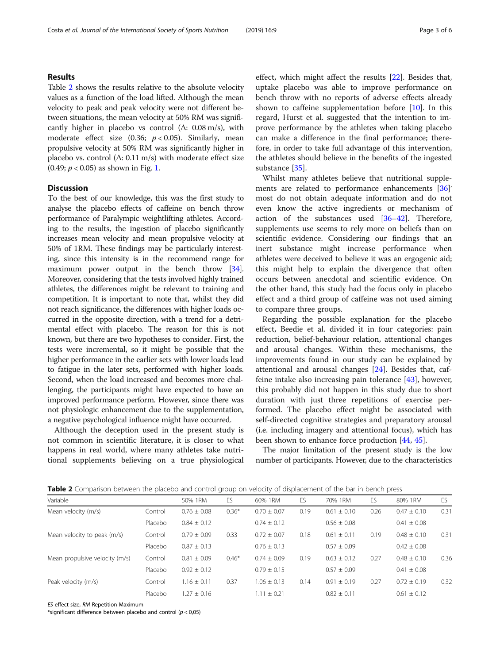### Results

Table 2 shows the results relative to the absolute velocity values as a function of the load lifted. Although the mean velocity to peak and peak velocity were not different between situations, the mean velocity at 50% RM was significantly higher in placebo vs control  $(Δ: 0.08 m/s)$ , with moderate effect size (0.36;  $p < 0.05$ ). Similarly, mean propulsive velocity at 50% RM was significantly higher in placebo vs. control  $(\Delta: 0.11 \text{ m/s})$  with moderate effect size  $(0.49; p < 0.05)$  as shown in Fig. [1.](#page-3-0)

#### **Discussion**

To the best of our knowledge, this was the first study to analyse the placebo effects of caffeine on bench throw performance of Paralympic weightlifting athletes. According to the results, the ingestion of placebo significantly increases mean velocity and mean propulsive velocity at 50% of 1RM. These findings may be particularly interesting, since this intensity is in the recommend range for maximum power output in the bench throw [\[34](#page-4-0)]. Moreover, considering that the tests involved highly trained athletes, the differences might be relevant to training and competition. It is important to note that, whilst they did not reach significance, the differences with higher loads occurred in the opposite direction, with a trend for a detrimental effect with placebo. The reason for this is not known, but there are two hypotheses to consider. First, the tests were incremental, so it might be possible that the higher performance in the earlier sets with lower loads lead to fatigue in the later sets, performed with higher loads. Second, when the load increased and becomes more challenging, the participants might have expected to have an improved performance perform. However, since there was not physiologic enhancement due to the supplementation, a negative psychological influence might have occurred.

Although the deception used in the present study is not common in scientific literature, it is closer to what happens in real world, where many athletes take nutritional supplements believing on a true physiological effect, which might affect the results [\[22\]](#page-4-0). Besides that, uptake placebo was able to improve performance on bench throw with no reports of adverse effects already shown to caffeine supplementation before [[10\]](#page-4-0). In this regard, Hurst et al. suggested that the intention to improve performance by the athletes when taking placebo can make a difference in the final performance; therefore, in order to take full advantage of this intervention, the athletes should believe in the benefits of the ingested substance [[35](#page-4-0)].

Whilst many athletes believe that nutritional supple-ments are related to performance enhancements [[36\]](#page-4-0) most do not obtain adequate information and do not even know the active ingredients or mechanism of action of the substances used [\[36](#page-4-0)–[42\]](#page-5-0). Therefore, supplements use seems to rely more on beliefs than on scientific evidence. Considering our findings that an inert substance might increase performance when athletes were deceived to believe it was an ergogenic aid; this might help to explain the divergence that often occurs between anecdotal and scientific evidence. On the other hand, this study had the focus only in placebo effect and a third group of caffeine was not used aiming to compare three groups.

Regarding the possible explanation for the placebo effect, Beedie et al. divided it in four categories: pain reduction, belief-behaviour relation, attentional changes and arousal changes. Within these mechanisms, the improvements found in our study can be explained by attentional and arousal changes [\[24](#page-4-0)]. Besides that, caffeine intake also increasing pain tolerance [\[43](#page-5-0)], however, this probably did not happen in this study due to short duration with just three repetitions of exercise performed. The placebo effect might be associated with self-directed cognitive strategies and preparatory arousal (i.e. including imagery and attentional focus), which has been shown to enhance force production [\[44,](#page-5-0) [45\]](#page-5-0).

The major limitation of the present study is the low number of participants. However, due to the characteristics

Table 2 Comparison between the placebo and control group on velocity of displacement of the bar in bench press

| Variable                       |         | 50% 1RM         | ES      | 60% 1RM         | ES   | 70% 1RM         | ES   | 80% 1RM         | ES   |
|--------------------------------|---------|-----------------|---------|-----------------|------|-----------------|------|-----------------|------|
| Mean velocity (m/s)            | Control | $0.76 \pm 0.08$ | $0.36*$ | $0.70 \pm 0.07$ | 0.19 | $0.61 \pm 0.10$ | 0.26 | $0.47 \pm 0.10$ | 0.31 |
|                                | Placebo | $0.84 \pm 0.12$ |         | $0.74 \pm 0.12$ |      | $0.56 \pm 0.08$ |      | $0.41 \pm 0.08$ |      |
| Mean velocity to peak (m/s)    | Control | $0.79 + 0.09$   | 0.33    | $0.72 + 0.07$   | 0.18 | $0.61 \pm 0.11$ | 0.19 | $0.48 \pm 0.10$ | 0.31 |
|                                | Placebo | $0.87 \pm 0.13$ |         | $0.76 \pm 0.13$ |      | $0.57 \pm 0.09$ |      | $0.42 \pm 0.08$ |      |
| Mean propulsive velocity (m/s) | Control | $0.81 \pm 0.09$ | $0.46*$ | $0.74 + 0.09$   | 0.19 | $0.63 \pm 0.12$ | 0.27 | $0.48 \pm 0.10$ | 0.36 |
|                                | Placebo | $0.92 \pm 0.12$ |         | $0.79 \pm 0.15$ |      | $0.57 \pm 0.09$ |      | $0.41 \pm 0.08$ |      |
| Peak velocity (m/s)            | Control | $1.16 \pm 0.11$ | 0.37    | $1.06 \pm 0.13$ | 0.14 | $0.91 + 0.19$   | 0.27 | $0.72 + 0.19$   | 0.32 |
|                                | Placebo | $1.27 \pm 0.16$ |         | $1.11 \pm 0.21$ |      | $0.82 \pm 0.11$ |      | $0.61 \pm 0.12$ |      |

ES effect size, RM Repetition Maximum

\*significant difference between placebo and control  $(p < 0.05)$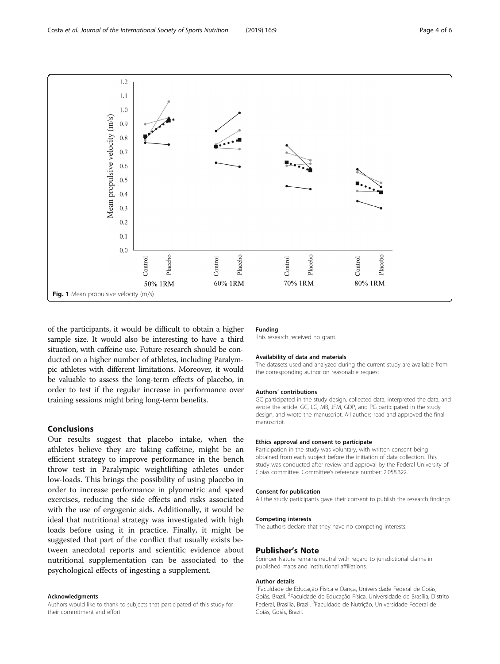<span id="page-3-0"></span>

of the participants, it would be difficult to obtain a higher sample size. It would also be interesting to have a third situation, with caffeine use. Future research should be conducted on a higher number of athletes, including Paralympic athletes with different limitations. Moreover, it would be valuable to assess the long-term effects of placebo, in order to test if the regular increase in performance over training sessions might bring long-term benefits.

#### Conclusions

Our results suggest that placebo intake, when the athletes believe they are taking caffeine, might be an efficient strategy to improve performance in the bench throw test in Paralympic weightlifting athletes under low-loads. This brings the possibility of using placebo in order to increase performance in plyometric and speed exercises, reducing the side effects and risks associated with the use of ergogenic aids. Additionally, it would be ideal that nutritional strategy was investigated with high loads before using it in practice. Finally, it might be suggested that part of the conflict that usually exists between anecdotal reports and scientific evidence about nutritional supplementation can be associated to the psychological effects of ingesting a supplement.

#### Acknowledgments

Authors would like to thank to subjects that participated of this study for their commitment and effort.

#### Funding

This research received no grant.

#### Availability of data and materials

The datasets used and analyzed during the current study are available from the corresponding author on reasonable request.

#### Authors' contributions

GC participated in the study design, collected data, interpreted the data, and wrote the article. GC, LG, MB, JFM, GDP, and PG participated in the study design, and wrote the manuscript. All authors read and approved the final manuscript.

#### Ethics approval and consent to participate

Participation in the study was voluntary, with written consent being obtained from each subject before the initiation of data collection. This study was conducted after review and approval by the Federal University of Goias committee. Committee's reference number: 2.058.322.

#### Consent for publication

All the study participants gave their consent to publish the research findings.

#### Competing interests

The authors declare that they have no competing interests.

#### Publisher's Note

Springer Nature remains neutral with regard to jurisdictional claims in published maps and institutional affiliations.

#### Author details

<sup>1</sup> Faculdade de Educação Física e Dança, Universidade Federal de Goiás, Goiás, Brazil. <sup>2</sup>Faculdade de Educação Física, Universidade de Brasília, Distrito Federal, Brasília, Brazil. <sup>3</sup> Faculdade de Nutrição, Universidade Federal de Goiás, Goiás, Brazil.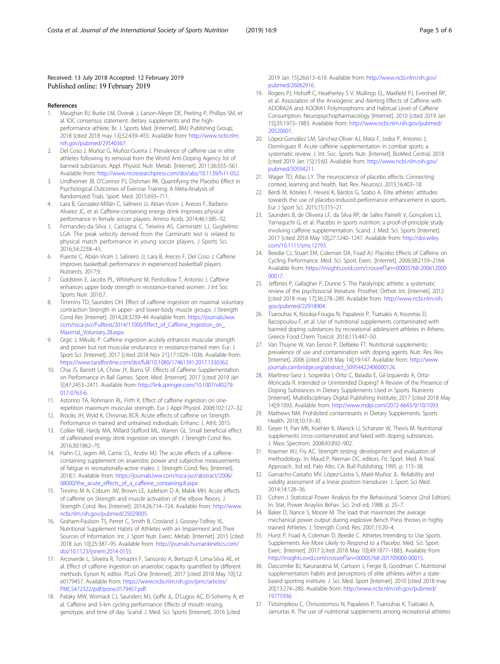#### <span id="page-4-0"></span>Received: 13 July 2018 Accepted: 12 February 2019 Published online: 19 February 2019

#### References

- 1. Maughan RJ, Burke LM, Dvorak J, Larson-Meyer DE, Peeling P, Phillips SM, et al. IOC consensus statement: dietary supplements and the highperformance athlete. Br. J. Sports Med. [Internet]. BMJ Publishing Group; 2018 [cited 2018 may 13];52:439–455. Available from: [http://www.ncbi.nlm.](http://www.ncbi.nlm.nih.gov/pubmed/29540367) [nih.gov/pubmed/29540367](http://www.ncbi.nlm.nih.gov/pubmed/29540367).
- 2. Del Coso J, Muñoz G, Muñoz-Guerra J. Prevalence of caffeine use in elite athletes following its removal from the World Anti-Doping Agency list of banned substances. Appl. Physiol. Nutr. Metab. [Internet]. 2011;36:555–561. Available from: [http://www.nrcresearchpress.com/doi/abs/10.1139/h11-052.](http://www.nrcresearchpress.com/doi/abs/10.1139/h11-052)
- 3. Lindheimer JB, O'Connor PJ, Dishman RK. Quantifying the Placebo Effect in Psychological Outcomes of Exercise Training: A Meta-Analysis of Randomized Trials. Sport. Med. 2015:693–711.
- 4. Lara B, Gonzalez-Millán C, Salinero JJ, Abian-Vicen J, Areces F, Barbero-Alvarez JC, et al. Caffeine-containing energy drink improves physical performance in female soccer players. Amino Acids. 2014;46:1385–92.
- 5. Fernandes-da-Silva J, Castagna C, Teixeira AS, Carminatti LJ, Guglielmo LGA. The peak velocity derived from the Carminatti test is related to physical match performance in young soccer players. J Sports Sci. 2016;34:2238–45.
- 6. Puente C, Abián-Vicén J, Salinero JJ, Lara B, Areces F, Del Coso J. Caffeine improves basketball performance in experienced basketball players. Nutrients. 2017;9.
- 7. Goldstein E, Jacobs PL, Whitehurst M, Penhollow T, Antonio J. Caffeine enhances upper body strength in resistance-trained women. J Int Soc Sports Nutr. 2010;7.
- 8. Timmins TD, Saunders DH. Effect of caffeine ingestion on maximal voluntary contraction Strength in upper- and lower-body muscle groups. J Strength Cond Res [Internet]. 2014;28:3239–44 Available from: [https://journals.lww.](https://journals.lww.com/nsca-jscr/Fulltext/2014/11000/Effect_of_Caffeine_Ingestion_on_Maximal_Voluntary.28.aspx) [com/nsca-jscr/Fulltext/2014/11000/Effect\\_of\\_Caffeine\\_Ingestion\\_on\\_](https://journals.lww.com/nsca-jscr/Fulltext/2014/11000/Effect_of_Caffeine_Ingestion_on_Maximal_Voluntary.28.aspx) [Maximal\\_Voluntary.28.aspx.](https://journals.lww.com/nsca-jscr/Fulltext/2014/11000/Effect_of_Caffeine_Ingestion_on_Maximal_Voluntary.28.aspx)
- 9. Grgic J, Mikulic P. Caffeine ingestion acutely enhances muscular strength and power but not muscular endurance in resistance-trained men. Eur. J. Sport Sci. [Internet]. 2017 [cited 2018 Nov 21];17:1029–1036. Available from: [https://www.tandfonline.com/doi/full/10.1080/17461391.2017.1330362.](https://www.tandfonline.com/doi/full/10.1080/17461391.2017.1330362)
- 10. Chia JS, Barrett LA, Chow JY, Burns SF. Effects of Caffeine Supplementation on Performance in Ball Games. Sport. Med. [Internet]. 2017 [cited 2019 Jan 5];47:2453–2471. Available from: [http://link.springer.com/10.1007/s40279-](http://link.springer.com/10.1007/s40279-017-0763-6) [017-0763-6](http://link.springer.com/10.1007/s40279-017-0763-6).
- 11. Astorino TA, Rohmann RL, Firth K. Effect of caffeine ingestion on onerepetition maximum muscular strength. Eur J Appl Physiol. 2008;102:127–32.
- 12. Brooks JH, Wyld K, Chrismas BCR. Acute effects of caffeine on Strength Performance in trained and untrained individuals. Enhanc: J. Athl; 2015.
- 13. Collier NB, Hardy MA, Millard-Stafford ML, Warren GL. Small beneficial effect of caffeinated energy drink ingestion on strength. J Strength Cond Res. 2016;30:1862–70.
- 14. Hahn CJ, Jagim AR, Camic CL, Andre MJ. The acute effects of a caffeinecontaining supplement on anaerobic power and subjective measurements of fatigue in recreationally-active males. J. Strength Cond. Res. [Internet]. 2018;1. Available from: [https://journals.lww.com/nsca-jscr/abstract/2006/](https://journals.lww.com/nsca-jscr/abstract/2006/08000/the_acute_effects_of_a_caffeine_containing.8.aspx) [08000/the\\_acute\\_effects\\_of\\_a\\_caffeine\\_containing.8.aspx.](https://journals.lww.com/nsca-jscr/abstract/2006/08000/the_acute_effects_of_a_caffeine_containing.8.aspx)
- 15. Trevino M A, Coburn JW, Brown LE, Judelson D A, Malek MH. Acute effects of caffeine on Strength and muscle activation of the elbow flexors. J. Strength Cond. Res. [Internet]. 2014;26:714–724. Available from: [http://www.](http://www.ncbi.nlm.nih.gov/pubmed/25029005) [ncbi.nlm.nih.gov/pubmed/25029005](http://www.ncbi.nlm.nih.gov/pubmed/25029005).
- 16. Graham-Paulson TS, Perret C, Smith B, Crosland J, Goosey-Tolfrey VL. Nutritional Supplement Habits of Athletes with an Impairment and Their Sources of Information. Int. J. Sport Nutr. Exerc. Metab. [Internet]. 2015 [cited 2018 Jun 10];25:387–95. Available from: [http://journals.humankinetics.com/](http://journals.humankinetics.com/doi/10.1123/ijsnem.2014-0155) [doi/10.1123/ijsnem.2014-0155](http://journals.humankinetics.com/doi/10.1123/ijsnem.2014-0155).
- 17. Arcoverde L, Silveira R, Tomazini F, Sansonio A, Bertuzzi R, Lima-Silva AE, et al. Effect of caffeine ingestion on anaerobic capacity quantified by different methods. Eynon N, editor. PLoS One [Internet]. 2017 [cited 2018 May 10];12: e0179457. Available from: [https://www.ncbi.nlm.nih.gov/pmc/articles/](https://www.ncbi.nlm.nih.gov/pmc/articles/PMC5472322/pdf/pone.0179457.pdf) [PMC5472322/pdf/pone.0179457.pdf.](https://www.ncbi.nlm.nih.gov/pmc/articles/PMC5472322/pdf/pone.0179457.pdf)
- 18. Pataky MW, Womack CJ, Saunders MJ, Goffe JL, D'Lugos AC, El-Sohemy A, et al. Caffeine and 3-km cycling performance: Effects of mouth rinsing, genotype, and time of day. Scand. J. Med. Sci. Sports [Internet]. 2016 [cited

2019 Jan 15];26:613–619. Available from: [http://www.ncbi.nlm.nih.gov/](http://www.ncbi.nlm.nih.gov/pubmed/26062916) [pubmed/26062916.](http://www.ncbi.nlm.nih.gov/pubmed/26062916)

- 19. Rogers PJ, Hohoff C, Heatherley S V, Mullings EL, Maxfield PJ, Evershed RP, et al. Association of the Anxiogenic and Alerting Effects of Caffeine with ADORA2A and ADORA1 Polymorphisms and Habitual Level of Caffeine Consumption. Neuropsychopharmacology [Internet]. 2010 [cited 2019 Jan 15];35:1973–1983. Available from: [http://www.ncbi.nlm.nih.gov/pubmed/](http://www.ncbi.nlm.nih.gov/pubmed/20520601) [20520601](http://www.ncbi.nlm.nih.gov/pubmed/20520601).
- 20. López-González LM, Sánchez-Oliver AJ, Mata F, Jodra P, Antonio J, Domínguez R. Acute caffeine supplementation in combat sports: a systematic review. J. Int. Soc. Sports Nutr. [Internet]. BioMed Central; 2018 [cited 2019 Jan 15];15:60. Available from: [http://www.ncbi.nlm.nih.gov/](http://www.ncbi.nlm.nih.gov/pubmed/30594211) [pubmed/30594211.](http://www.ncbi.nlm.nih.gov/pubmed/30594211)
- 21. Wager TD, Atlas LY. The neuroscience of placebo effects: Connecting context, learning and health. Nat. Rev. Neurosci. 2015;16:403–18.
- 22. Bérdi M, Köteles F, Hevesi K, Bárdos G, Szabo A. Elite athletes' attitudes towards the use of placebo-induced performance enhancement in sports. Eur J Sport Sci. 2015;15:315–21.
- 23. Saunders B, de Oliveira LF, da Silva RP, de Salles Painelli V, Gonçalves LS, Yamaguchi G, et al. Placebo in sports nutrition: a proof-of-principle study involving caffeine supplementation. Scand. J. Med. Sci. Sports [Internet]. 2017 [cited 2018 May 10];27:1240–1247. Available from: [http://doi.wiley.](http://doi.wiley.com/10.1111/sms.12793) [com/10.1111/sms.12793](http://doi.wiley.com/10.1111/sms.12793).
- 24. Beedie CJ, Stuart EM, Coleman DA, Foad AJ. Placebo Effects of Caffeine on Cycling Performance. Med. Sci. Sport. Exerc. [Internet]. 2006;38:2159–2164. Available from: [https://insights.ovid.com/crossref?an=00005768-200612000-](https://insights.ovid.com/crossref?an=00005768-200612000-00017) [00017.](https://insights.ovid.com/crossref?an=00005768-200612000-00017)
- 25. Jefferies P, Gallagher P, Dunne S. The Paralympic athlete: a systematic review of the psychosocial literature. Prosthet. Orthot. Int. [Internet]. 2012 [cited 2018 may 17];36:278–289. Available from: [http://www.ncbi.nlm.nih.](http://www.ncbi.nlm.nih.gov/pubmed/22918904) [gov/pubmed/22918904](http://www.ncbi.nlm.nih.gov/pubmed/22918904).
- 26. Tsarouhas K, Kioukia-Fougia N, Papalexis P, Tsatsakis A, Kouretas D, Bacopoulou F, et al. Use of nutritional supplements contaminated with banned doping substances by recreational adolescent athletes in Athens. Greece Food Chem Toxicol. 2018;115:447–50.
- 27. Van Thuyne W, Van Eenoo P, Delbeke FT. Nutritional supplements: prevalence of use and contamination with doping agents. Nutr. Res. Rev. [Internet]. 2006 [cited 2018 May 14];19:147. Available from: [http://www.](http://www.journals.cambridge.org/abstract_S0954422406000126) [journals.cambridge.org/abstract\\_S0954422406000126.](http://www.journals.cambridge.org/abstract_S0954422406000126)
- 28. Martínez-Sanz J, Sospedra I, Ortiz C, Baladía E, Gil-Izquierdo A, Ortiz-Moncada R. Intended or Unintended Doping? A Review of the Presence of Doping Substances in Dietary Supplements Used in Sports. Nutrients [Internet]. Multidisciplinary Digital Publishing Institute; 2017 [cited 2018 May 14];9:1093. Available from: <http://www.mdpi.com/2072-6643/9/10/1093>
- 29. Mathews NM. Prohibited contaminants in Dietary Supplements. Sports Health. 2018;10:19–30.
- 30. Geyer H, Parr MK, Koehler K, Mareck U, Schänzer W, Thevis M. Nutritional supplements cross-contaminated and faked with doping substances. J. Mass Spectrom. 2008;43:892–902.
- 31. Kraemer WJ, Fry AC. Strength testing: development and evaluation of methodology. In: Maud P, Nieman DC, editors. Fit. Sport. Med. A heal. Approach. 3rd ed. Palo Alto, CA: Bull Publishing; 1995. p. 115–38.
- 32. Garnacho-Castaño MV, López-Lastra S, Maté-Muñoz JL. Reliability and validity assessment of a linear position transducer. J. Sport. Sci Med. 2014;14:128–36.
- 33. Cohen J. Statistical Power Analysis for the Behavioural Science (2nd Edition). In: Stat. Power Anaylsis Behav. Sci. 2nd ed; 1988. p. 25–7.
- 34. Baker D, Nance S, Moore M. The load that maximizes the average mechanical power output during explosive Bench Press throws in highly trained Athletes. J. Strength Cond. Res. 2001;15:20–4.
- 35. Hurst P, Foad A, Coleman D, Beedie C. Athletes Intending to Use Sports Supplements Are More Likely to Respond to a Placebo. Med. Sci. Sport. Exerc. [Internet]. 2017 [cited 2018 May 10];49:1877–1883. Available from: [http://insights.ovid.com/crossref?an=00005768-201709000-00015.](http://insights.ovid.com/crossref?an=00005768-201709000-00015)
- 36. Dascombe BJ, Karunaratna M, Cartoon J, Fergie B, Goodman C. Nutritional supplementation habits and perceptions of elite athletes within a statebased sporting institute. J. Sci. Med. Sport [Internet]. 2010 [cited 2018 may 20];13:274–280. Available from: [http://www.ncbi.nlm.nih.gov/pubmed/](http://www.ncbi.nlm.nih.gov/pubmed/19775936) [19775936](http://www.ncbi.nlm.nih.gov/pubmed/19775936).
- 37. Tsitsimpikou C, Chrisostomou N, Papalexis P, Tsarouhas K, Tsatsakis A, Jamurtas A. The use of nutritional supplements among recreational athletes